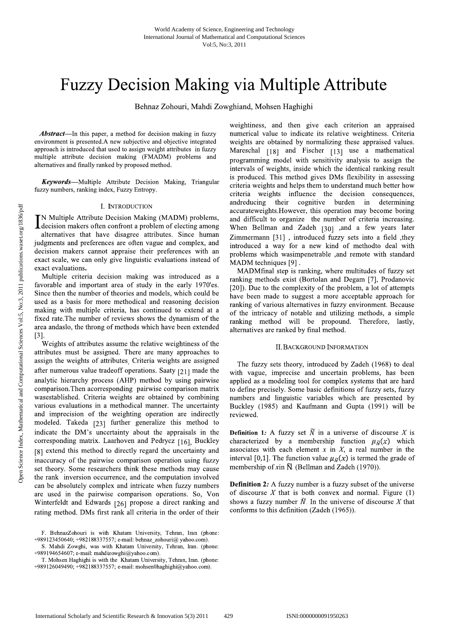# **Fuzzy Decision Making via Multiple Attribute**

Behnaz Zohouri, Mahdi Zowghiand, Mohsen Haghighi

**Abstract**—In this paper, a method for decision making in fuzzy environment is presented.A new subjective and objective integrated approach is introduced that used to assign weight attributes in fuzzy multiple attribute decision making (FMADM) problems and alternatives and finally ranked by proposed method.

**Keywords**—Multiple Attribute Decision Making, Triangular fuzzy numbers, ranking index, Fuzzy Entropy.

# I. INTRODUCTION

**TN Multiple Attribute Decision Making (MADM) problems,** decision makers often confront a problem of electing among alternatives that have disagree attributes. Since human judgments and preferences are often vague and complex, and decision makers cannot appraise their preferences with an exact scale, we can only give linguistic evaluations instead of exact evaluations.

Multiple criteria decision making was introduced as a favorable and important area of study in the early 1970'es. Since then the number of theories and models, which could be used as a basis for more methodical and reasoning decision making with multiple criteria, has continued to extend at a fixed rate. The number of reviews shows the dynamism of the area andaslo, the throng of methods which have been extended  $[3]$ .

Weights of attributes assume the relative weightiness of the attributes must be assigned. There are many approaches to assign the weights of attributes<sub>.</sub> Criteria weights are assigned after numerous value tradeoff operations. Saaty [21] made the analytic hierarchy process (AHP) method by using pairwise comparison. Then acorresponding pairwise comparison matrix wasestablished. Criteria weights are obtained by combining various evaluations in a methodical manner. The uncertainty and imprecision of the weighting operation are indirectly modeled. Takeda [23] further generalize this method to indicate the DM's uncertainty about the appraisals in the corresponding matrix. Laarhoven and Pedrycz [16], Buckley [8] extend this method to directly regard the uncertainty and inaccuracy of the pairwise comparison operation using fuzzy set theory. Some researchers think these methods may cause the rank inversion occurrence, and the computation involved can be absolutely complex and intricate when fuzzy numbers are used in the pairwise comparison operations. So, Von Winterfeldt and Edwards [26] propose a direct ranking and rating method. DMs first rank all criteria in the order of their weightiness, and then give each criterion an appraised numerical value to indicate its relative weightiness. Criteria weights are obtained by normalizing these appraised values. Mareschal [18] and Fischer [13] use a mathematical programming model with sensitivity analysis to assign the intervals of weights, inside which the identical ranking result is produced. This method gives DMs flexibility in assessing criteria weights and helps them to understand much better how criteria weights influence the decision consequences, andreducing their cognitive burden in determining accurateweights. However, this operation may become boring and difficult to organize the number of criteria increasing. When Bellman and Zadeh [30] ,and a few years later Zimmermann [31], introduced fuzzy sets into a field, they introduced a way for a new kind of methodto deal with problems which wasimpenetrable ,and remote with standard MADM techniques [9].

MADMfinal step is ranking, where multitudes of fuzzy set ranking methods exist (Bortolan and Degam [7], Prodanovic [20]). Due to the complexity of the problem, a lot of attempts have been made to suggest a more acceptable approach for ranking of various alternatives in fuzzy environment. Because of the intricacy of notable and utilizing methods, a simple ranking method will be propound. Therefore, lastly, alternatives are ranked by final method.

# **II. BACKGROUND INFORMATION**

The fuzzy sets theory, introduced by Zadeh (1968) to deal with vague, imprecise and uncertain problems, has been applied as a modeling tool for complex systems that are hard to define precisely. Some basic definitions of fuzzy sets, fuzzy numbers and linguistic variables which are presented by Buckley (1985) and Kaufmann and Gupta (1991) will be reviewed.

**Definition 1:** A fuzzy set  $\widetilde{N}$  in a universe of discourse X is characterized by a membership function  $\mu_{\bar{N}}(x)$  which associates with each element  $x$  in  $X$ , a real number in the interval [0,1]. The function value  $\mu_{\tilde{N}}(x)$  is termed the grade of membership of xin  $\tilde{N}$ . (Bellman and Zadeh (1970)).

**Definition 2:** A fuzzy number is a fuzzy subset of the universe of discourse  $X$  that is both convex and normal. Figure (1) shows a fuzzy number  $\widetilde{N}$ . In the universe of discourse X that conforms to this definition (Zadeh (1965)).

F. BehnazZohouri is with Khatam University, Tehran, Iran (phone: +989123450640; +982188337557; e-mail: behnaz\_zohouri@ yahoo.com).

S. Mahdi Zowghi, was with Khatam University, Tehran, Iran. (phone: +989194654607; e-mail: mahdizowghi@yahoo.com).

T. Mohsen Haghighi is with the Khatam University, Tehran, Iran. (phone: +989126049490; +982188337557; e-mail: mohsen0haghighi@yahoo.com).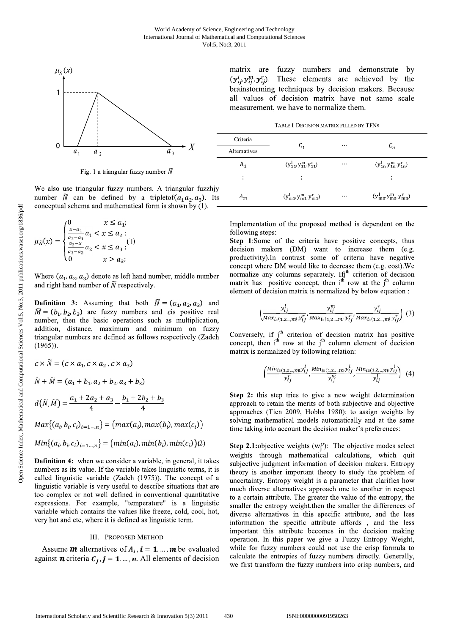

Fig. 1 a triangular fuzzy number  $\tilde{N}$ 

We also use triangular fuzzy numbers. A triangular fuzzhiy number  $\tilde{N}$  can be defined by a tripletof( $a_1 a_2, a_3$ ). Its conceptual schema and mathematical form is shown by (1).

$$
u_{\bar{N}}(x) = \begin{cases} 0 & x \le a_1; \\ \frac{x-a_1}{a_2 - a_1} a_1 < x \le a_2; \\ \frac{a_3 - x}{a_3 - a_2} a_2 < x \le a_3; \\ 0 & x > a_3; \end{cases} (1)
$$

Where  $(a_1, a_2, a_3)$  denote as left hand number, middle number and right hand number of  $\tilde{N}$  respectively.

**Definition 3:** Assuming that both  $\tilde{N} = (a_1, a_2, a_3)$  and  $\widetilde{M} = (b_1, b_2, b_3)$  are fuzzy numbers and cis positive real number, then the basic operations such as multiplication, addition, distance, maximum and minimum on fuzzy triangular numbers are defined as follows respectively (Zadeh  $(1965)$ ).

$$
c \times N = (c \times a_1, c \times a_2, c \times a_3)
$$
  
\n
$$
\widetilde{N} + \widetilde{M} = (a_1 + b_1, a_2 + b_2, a_3 + b_3)
$$
  
\n
$$
d(\widetilde{N}, \widetilde{M}) = \frac{a_1 + 2a_2 + a_3}{4} - \frac{b_1 + 2b_2 + b_3}{4}
$$
  
\n
$$
Max\{(a_i, b_i, c_i)_{i=1,\dots,n}\} = (max(a_i), max(b_i), max(c_i))
$$
  
\n
$$
Min\{(a_i, b_i, c_i)_{i=1,\dots,n}\} = (min(a_i), min(b_i), min(c_i))(2)
$$

**Definition 4:** when we consider a variable, in general, it takes numbers as its value. If the variable takes linguistic terms, it is called linguistic variable (Zadeh (1975)). The concept of a linguistic variable is very useful to describe situations that are too complex or not well defined in conventional quantitative expressions. For example, "temperature" is a linguistic variable which contains the values like freeze, cold, cool, hot, very hot and etc, where it is defined as linguistic term.

#### **III. PROPOSED METHOD**

Assume **m** alternatives of  $A_i$ ,  $i = 1, ..., m$  be evaluated against **n** criteria  $C_j$ ,  $j = 1, ..., n$ . All elements of decision matrix are fuzzy numbers and demonstrate by  $(y_{ij}^l, y_{ij}^m, y_{ij}^r)$ . These elements are achieved by the brainstorming techniques by decision makers. Because all values of decision matrix have not same scale measurement, we have to normalize them.

TABLE I DECISION MATRIX FILLED BY TFNS

| Criteria     |                                  |          |                                  |  |  |
|--------------|----------------------------------|----------|----------------------------------|--|--|
| Alternatives | $C_1$                            | $\cdots$ | $C_n$                            |  |  |
| $A_1$        | $(y_{11}^l, y_{11}^m, y_{11}^r)$ | $\cdots$ | $(y_{1n}^l, y_{1n}^m, y_{1n}^r)$ |  |  |
| ÷            |                                  |          |                                  |  |  |
| $A_m$        | $(y_{m1}^l, y_{m1}^m, y_{m1}^r)$ | $\cdots$ | $(y_{mn}^l, y_{mn}^m, y_{mn}^r)$ |  |  |

Implementation of the proposed method is dependent on the following steps:

Step 1:Some of the criteria have positive concepts, thus decision makers (DM) want to increase them (e.g. productivity). In contrast some of criteria have negative concept where DM would like to decrease them (e.g. cost). We normalize any columns separately. If  $j^{th}$  criterion of decision matrix has positive concept, then  $i^{th}$  row at the  $j^{th}$  column element of decision matrix is normalized by below equation :

$$
\left(\frac{y_{ij}^l}{\text{Max}_{i\in(1,2\ldots,m)}y_{ij}^r}, \frac{y_{ij}^m}{\text{Max}_{i\in(1,2\ldots,m)}y_{ij}^r}, \frac{y_{ij}^r}{\text{Max}_{i\in(1,2\ldots,m)}y_{ij}^r}\right) (3)
$$

Conversely, if  $j^{\text{th}}$  criterion of decision matrix has positive concept, then  $i^{\text{th}}$  row at the  $j^{\text{th}}$  column element of decision matrix is normalized by following relation:

$$
\left(\frac{Min_{i\in(1,2,\dots,m)}y_{ij}^l}{y_{ij}^r}, \frac{Min_{i\in(1,2,\dots,m)}y_{ij}^l}{y_{ij}^m}, \frac{Min_{i\in(1,2,\dots,m)}y_{ij}^l}{y_{ij}^l}\right) (4)
$$

Step 2: this step tries to give a new weight determination approach to retain the merits of both subjective and objective approaches (Tien 2009, Hobbs 1980): to assign weights by solving mathematical models automatically and at the same time taking into account the decision maker's preferences:

**Step 2.1:** objective weights ( $w_i^o$ ): The objective modes select weights through mathematical calculations, which quit subjective judgment information of decision makers. Entropy theory is another important theory to study the problem of uncertainty. Entropy weight is a parameter that clarifies how much diverse alternatives approach one to another in respect to a certain attribute. The greater the value of the entropy, the smaller the entropy weight then the smaller the differences of diverse alternatives in this specific attribute, and the less information the specific attribute affords, and the less important this attribute becomes in the decision making operation. In this paper we give a Fuzzy Entropy Weight, while for fuzzy numbers could not use the crisp formula to calculate the entropies of fuzzy numbers directly. Generally, we first transform the fuzzy numbers into crisp numbers, and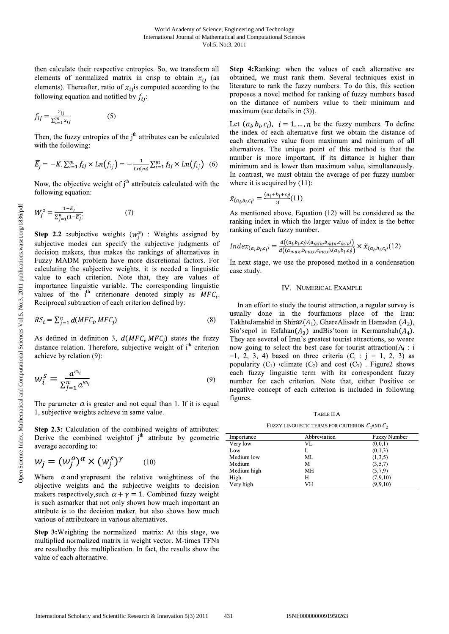then calculate their respective entropies. So, we transform all elements of normalized matrix in crisp to obtain  $x_{ii}$  (as elements). Thereafter, ratio of  $x_{ij}$  is computed according to the following equation and notified by  $f_{ii}$ :

$$
f_{ij} = \frac{x_{ij}}{\sum_{i=1}^{m} x_{ij}} \tag{5}
$$

Then, the fuzzy entropies of the  $i<sup>th</sup>$  attributes can be calculated with the following:

$$
\overline{E}_j = -K \cdot \sum_{i=1}^m f_{ij} \times Ln(f_{ij}) = -\frac{1}{Ln(m)} \sum_{i=1}^m f_{ij} \times Ln(f_{ij}) \quad (6)
$$

Now, the objective weight of  $j<sup>th</sup>$  attribute is calculated with the following equation:

$$
W_j^o = \frac{1 - \overline{E_j}}{\sum_{j=1}^n (1 - \overline{E_j})}
$$
 (7)

**Step 2.2** :subjective weights  $(w_i^s)$  : Weights assigned by subjective modes can specify the subjective judgments of decision makers, thus makes the rankings of alternatives in Fuzzy MADM problem have more discretional factors. For calculating the subjective weights, it is needed a linguistic value to each criterion. Note that, they are values of importance linguistic variable. The corresponding linguistic values of the  $i^{th}$  criterionare denoted simply as  $MFC_i$ . Reciprocal subtraction of each criterion defined by:

$$
RS_i = \sum_{j=1}^{n} d(MFC_i MFC_j)
$$
\n(8)

As defined in definition 3,  $d(MFC_i MFC_i)$  states the fuzzy distance relation. Therefore, subjective weight of i<sup>th</sup> criterion achieve by relation (9):

$$
w_i^s = \frac{a^{RS_i}}{\sum_{j=1}^n a^{RS_j}}
$$
\n(9)

The parameter  $\alpha$  is greater and not equal than 1. If it is equal 1, subjective weights achieve in same value.

Step 2.3: Calculation of the combined weights of attributes: Derive the combined weight of  $i<sup>th</sup>$  attribute by geometric average according to:

$$
w_j = (w_j^o)^\alpha \times (w_j^s)^\gamma \qquad (10)
$$

Where  $\alpha$  and yrepresent the relative weightiness of the objective weights and the subjective weights to decision makers respectively, such  $\alpha + \gamma = 1$ . Combined fuzzy weight is such asmarker that not only shows how much important an attribute is to the decision maker, but also shows how much various of attributeare in various alternatives.

Step 3: Weighting the normalized matrix: At this stage, we multiplied normalized matrix in weight vector. M-times TFNs are resultedby this multiplication. In fact, the results show the value of each alternative.

Step 4: Ranking: when the values of each alternative are obtained, we must rank them. Several techniques exist in literature to rank the fuzzy numbers. To do this, this section proposes a novel method for ranking of fuzzy numbers based on the distance of numbers value to their minimum and maximum (see details in  $(3)$ ).

Let  $(a_i, b_i, c_i)$ ,  $i = 1, ..., n$  be the fuzzy numbers. To define the index of each alternative first we obtain the distance of each alternative value from maximum and minimum of all alternatives. The unique point of this method is that the number is more important, if its distance is higher than minimum and is lower than maximum value, simultaneously. In contrast, we must obtain the average of per fuzzy number where it is acquired by  $(11)$ :

$$
\tilde{x}_{(a_i, b_i, c_i)} = \frac{(a_i + b_i + c_i)}{3} (11)
$$

As mentioned above, Equation (12) will be considered as the ranking index in which the larger value of index is the better ranking of each fuzzy number.

$$
Index_{(a_i, b_i, c_i)} = \frac{d((a_i, b_i, c_i), (a_{min}, b_{min}, c_{min}))}{d((a_{max}, b_{max}, c_{max}), (a_i, b_i, c_i))} \times \tilde{x}_{(a_i, b_i, c_i)}(12)
$$

In next stage, we use the proposed method in a condensation case study.

# IV. NUMERICAL EXAMPLE

In an effort to study the tourist attraction, a regular survey is usually done in the fourfamous place of the Iran: TakhteJamshid in Shiraz $(A_1)$ , GhareAlisadr in Hamadan  $(A_2)$ , Sio'sepol in Esfahan $(A_3)$  and Bis'toon in Kermanshah $(A_4)$ . They are several of Iran's greatest tourist attractions, so weare now going to select the best case for tourist attraction( $A_i$ : i =1, 2, 3, 4) based on three criteria ( $C_j$ :  $j = 1, 2, 3$ ) as popularity  $(C_1)$  climate  $(C_2)$  and cost  $(C_3)$ . Figure2 shows each fuzzy linguistic term with its correspondent fuzzy number for each criterion. Note that, either Positive or negative concept of each criterion is included in following figures.

TABLE II A

FUZZY LINGUISTIC TERMS FOR CRITERION  $C_1$ AND  $C_2$ 

| Importance  | Abbreviation | <b>Fuzzy Number</b> |
|-------------|--------------|---------------------|
| Very low    | VL           | (0,0,1)             |
| Low         |              | (0,1,3)             |
| Medium low  | МL           | (1,3,5)             |
| Medium      | М            | (3,5,7)             |
| Medium high | MН           | (5,7,9)             |
| High        | Н            | (7,9,10)            |
| Very high   | VH           | (9,9,10)            |

431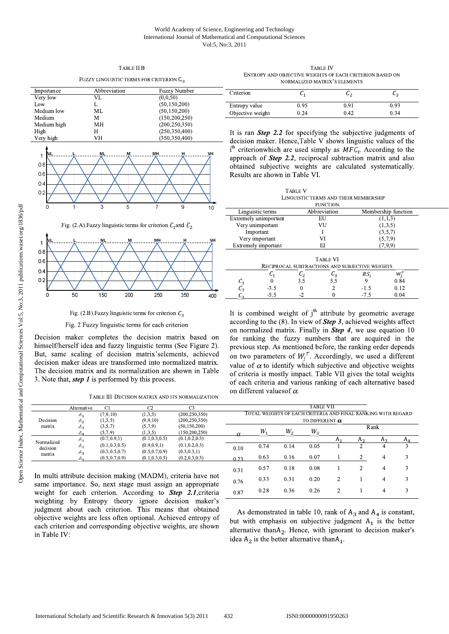### World Academy of Science, Engineering and Technology International Journal of Mathematical and Computational Sciences Vol:5, No:3, 2011

| FUZZY LINGUISTIC TERMS FOR CRITERION U <sub>3</sub> |                   |                                                                  |  |  |  |  |  |  |
|-----------------------------------------------------|-------------------|------------------------------------------------------------------|--|--|--|--|--|--|
| Importance                                          | Abbreviation      | <b>Fuzzy Number</b>                                              |  |  |  |  |  |  |
| Very low                                            | VL                | (0,0,50)                                                         |  |  |  |  |  |  |
| Low                                                 | L                 | (50, 150, 200)                                                   |  |  |  |  |  |  |
| Medium low                                          | МL                | (50, 150, 200)                                                   |  |  |  |  |  |  |
| Medium                                              | M                 | (150, 200, 250)                                                  |  |  |  |  |  |  |
| Medium high                                         | MH                | (200, 250, 350)                                                  |  |  |  |  |  |  |
| High                                                | H                 | (250, 350, 400)                                                  |  |  |  |  |  |  |
| Very high                                           | VH                | (350, 350, 400)                                                  |  |  |  |  |  |  |
| lv١<br>1<br>0.8<br>0.6<br>0.4<br>0.2<br>1<br>0      | ML<br>М<br>3<br>5 | VH<br>MH<br>н<br>9<br>7<br>10                                    |  |  |  |  |  |  |
|                                                     |                   | Fig. (2.A). Fuzzy linguistic terms for criterion $C_1$ and $C_2$ |  |  |  |  |  |  |
|                                                     |                   |                                                                  |  |  |  |  |  |  |

TABLE II B

#### $0.8$  $0.6$  $0.4$  $02$ 150 200 250 350 400

Fig. (2.B). Fuzzy linguistic terms for criterion  $C_3$ 

Fig. 2 Fuzzy linguistic terms for each criterion

Decision maker completes the decision matrix based on himself/herself idea and fuzzy linguistic terms (See Figure 2). But, same scaling of decision matrix's elements, achieved decision maker ideas are transformed into normalized matrix. The decision matrix and its normalization are shown in Table 3. Note that, *step 1* is performed by this process.

TABLE III DECISION MATRIX AND ITS NORMALIZATION

TABLE IV ENTROPY AND OBJECTIVE WEIGHTS OF EACH CRITERION BASED ON NORMALIZED MATRIX'S ELEMENTS

| Criterion        | ັ    | u-   |      |
|------------------|------|------|------|
| Entropy value    | 0.95 | 0.91 | 0.93 |
| Objective weight | 0.24 | 0.42 | 0.34 |

It is ran **Step 2.2** for specifying the subjective judgments of decision maker. Hence, Table V shows linguistic values of the  $i<sup>th</sup>$  criterionwhich are used simply as  $MFC_i$ . According to the approach of **Step 2.2**, reciprocal subtraction matrix and also obtained subjective weights are calculated systematically. Results are shown in Table VI.

**TABLE V** LINGUISTIC TERMS AND THEIR MEMBERSHIP **ELINCTION** 

|                                                | Linguistic terms      |     | Abbreviation    | Membership function |         |  |  |  |  |  |
|------------------------------------------------|-----------------------|-----|-----------------|---------------------|---------|--|--|--|--|--|
|                                                | Extremely unimportant |     | EU              |                     | (1,1,3) |  |  |  |  |  |
|                                                | Very unimportant      |     | VU              | (1,3,5)             |         |  |  |  |  |  |
|                                                | Important             |     |                 | (3,5,7)             |         |  |  |  |  |  |
|                                                | Very important        |     | (5,7,9)<br>VI   |                     |         |  |  |  |  |  |
|                                                | Extremely important   |     | (7,9,9)<br>ΕI   |                     |         |  |  |  |  |  |
|                                                |                       |     |                 |                     |         |  |  |  |  |  |
| <b>TABLE VI</b>                                |                       |     |                 |                     |         |  |  |  |  |  |
| RECIPROCAL SUBTRACTIONS AND SUBJECTIVE WEIGHTS |                       |     |                 |                     |         |  |  |  |  |  |
|                                                |                       | С,  | $\mathcal{C}_3$ | RS,                 | w,      |  |  |  |  |  |
|                                                |                       | 3.5 | 5.5             |                     | 0.84    |  |  |  |  |  |
|                                                | $-3.5$                | 0   |                 | -1.5                | 0.12    |  |  |  |  |  |
|                                                |                       |     |                 |                     |         |  |  |  |  |  |

 $-5<sup>5</sup>$ 

0.33

0.28

 $0.31$ 

0.36

C.

 $\theta$ 

 $-7.5$ 

0.04

3

 $\overline{3}$ 

It is combined weight of  $j<sup>th</sup>$  attribute by geometric average according to the  $(8)$ . In view of **Step 3**, achieved weights affect on normalized matrix. Finally in **Step 4**, we use equation  $10$ for ranking the fuzzy numbers that are acquired in the previous step. As mentioned before, the ranking order depends on two parameters of  $W_i^T$ . Accordingly, we used a different value of  $\alpha$  to identify which subjective and objective weights of criteria is mostly impact. Table VII gives the total weights of each criteria and various ranking of each alternative based on different values of  $\alpha$ .

|            | Alternative    | C1              | C <sub>2</sub>  | $\cap$          |                                                              |      |      | TABLE VII |  |  |          |  |
|------------|----------------|-----------------|-----------------|-----------------|--------------------------------------------------------------|------|------|-----------|--|--|----------|--|
|            | 411            | (7,9,10)        | (1,3,5)         | (200, 250, 350) | TOTAL WEIGHTS OF EACH CRITERIA AND FINAL RANKING WITH REGARD |      |      |           |  |  |          |  |
| Decision   | A <sub>2</sub> | (1,3,5)         | (9,9,10)        | (200, 250, 350) | TO DIFFERENT $\alpha$                                        |      |      |           |  |  |          |  |
| matrix     | $A_3$          | (3,5,7)         | (5,7,9)         | (50, 150, 200)  | Rank                                                         |      |      |           |  |  |          |  |
|            |                | (5,7,9)         | (1,3,5)         | (150, 200, 250) |                                                              | W    | W,   | W,        |  |  |          |  |
| Normalized |                | (0.7, 0.9, 1)   | (0.1, 0.3, 0.5) | (0.1, 0.2, 0.3) |                                                              |      |      |           |  |  | Aэ       |  |
| decision   | A <sub>2</sub> | (0.1, 0.3, 0.5) | (0.9, 0.9, 1)   | (0.1, 0.2, 0.3) | 0.10                                                         | 0.74 | 0.14 | 0.05      |  |  | ٠        |  |
| matrix     | $A_3$          | (0.3, 0.5, 0.7) | (0.5, 0.7, 0.9) | (0.3, 0.3, 1)   |                                                              |      |      |           |  |  |          |  |
|            |                | (0.5, 0.7, 0.9) | (0.1, 0.3, 0.5) | (0.2, 0.3, 0.3) | 0.23                                                         | 0.63 | 0.16 | 0.07      |  |  | $\Delta$ |  |
|            |                |                 |                 |                 | 0.31                                                         | 0.57 | 0.18 | 0.08      |  |  | 4        |  |

0.76

0.87

In multi attribute decision making (MADM), criteria have not same importance. So, next stage must assign an appropriate weight for each criterion. According to **Step 2.1**, criteria weighting by Entropy theory ignore decision maker's judgment about each criterion. This means that obtained objective weights are less often optional. Achieved entropy of each criterion and corresponding objective weights, are shown in Table IV:

As demonstrated in table 10, rank of  $A_3$  and  $A_4$  is constant, but with emphasis on subjective judgment  $A_1$  is the better alternative thanA<sub>2</sub>. Hence, with ignorant to decision maker's idea  $A_2$  is the better alternative than $A_1$ .

 $\overline{2}$ 

 $\overline{2}$ 

 $\mathbf{1}$ 

 $\overline{4}$ 

0.20

0.26